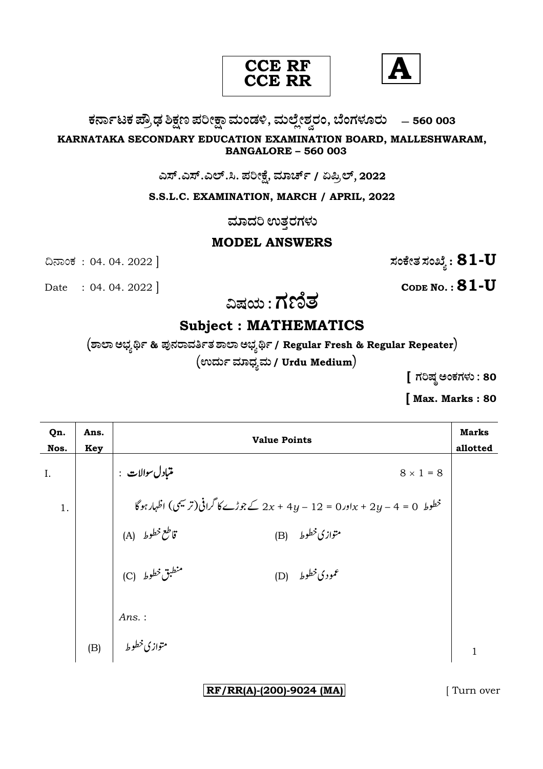



# ಕರ್ನಾಟಕ ಪ್ರೌಢ ಶಿಕ್ಷಣ ಪರೀಕ್ಷಾ ಮಂಡಳಿ, ಮಲ್ಲೇಶ್ವರಂ, ಬೆಂಗಳೂರು – 560 003

#### KARNATAKA SECONDARY EDUCATION EXAMINATION BOARD, MALLESHWARAM, **BANGALORE - 560 003**

## ಎಸ್.ಎಸ್.ಎಲ್.ಸಿ. ಪರೀಕ್ಷೆ, ಮಾರ್ಚ್ / ಏಪ್ರಿಲ್, 2022

## S.S.L.C. EXAMINATION, MARCH / APRIL, 2022

ಮಾದರಿ ಉತ್ತರಗಳು

# **MODEL ANSWERS**

ಸಂಕೇತ ಸಂಖ್ಯೆ :  $\bf 81$ - $\bf U$ 

Date : 04. 04. 2022

ದಿನಾಂಕ : 04.04.2022 ]

CODE NO. :  $81$ -U

ವಿಷಯ : ಗಣಿತ

# **Subject: MATHEMATICS**

 $\sigma$  (ಶಾಲಾ ಅಭ್ಯರ್ಥಿ & ಪುನರಾವರ್ತಿತ ಶಾಲಾ ಅಭ್ಯರ್ಥಿ / Regular Fresh & Regular Repeater)  $($ ಉರ್ದು ಮಾಧ್ಯಮ / Urdu Medium $)$ 

[ ಗರಿಷ್ಠ ಅಂಕಗಳು : 80

[Max. Marks: 80

| Qn.<br>Nos. | Ans.<br><b>Key</b> | <b>Value Points</b>                                                            |              |
|-------------|--------------------|--------------------------------------------------------------------------------|--------------|
| I.          |                    | متبادل سوالات :<br>$8 \times 1 = 8$                                            |              |
| 1.          |                    | خطوط 0 = 4 - 2y + 2y + 2y = 12 - 2y + 4y كے جوڑے کا گرافی (ترمیسی) اظہار ہو گا |              |
|             |                    | قاطع خطوط (A)<br>متوازي خطوط (B)                                               |              |
|             |                    | منطبق خطوط (C)<br>(D) $\delta$ مودی خطوط)                                      |              |
|             |                    | $Ans.$ :                                                                       |              |
|             |                    | متوازی خطوط   (B)                                                              | $\mathbf{1}$ |

 $RF/RR(A)-(200)-9024$  (MA)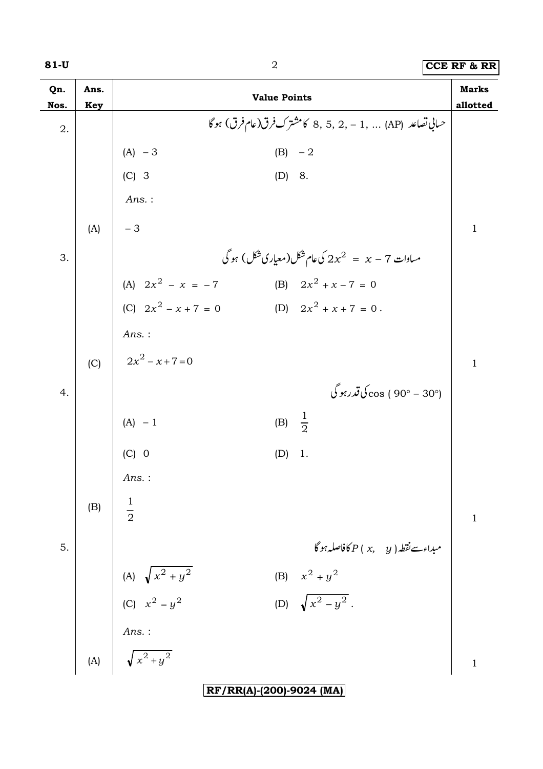# **81-U** 2 **CCE RF & RR**

| Qn.  | Ans.       |                                                                              | <b>Value Points</b>                                        | <b>Marks</b> |
|------|------------|------------------------------------------------------------------------------|------------------------------------------------------------|--------------|
| Nos. | <b>Key</b> |                                                                              | حساني تصاعد  (AP)  ,1 - ,2 ,5 ,2 كامشترك فرق(عام فرق) ہوگا | allotted     |
| 2.   |            |                                                                              |                                                            |              |
|      |            | $(A) - 3$                                                                    | $(B) -2$                                                   |              |
|      |            | $(C)$ 3                                                                      | (D) 8.                                                     |              |
|      |            | Ans.:                                                                        |                                                            |              |
|      | (A)        | $-3$                                                                         |                                                            | $\mathbf{1}$ |
| 3.   |            |                                                                              | مساوات 7 $x - z = 2$ کی عام شکل(معیاری شکل) ہو گی          |              |
|      |            | (A) $2x^2 - x = -7$                                                          | (B) $2x^2 + x - 7 = 0$                                     |              |
|      |            | (C) $2x^2 - x + 7 = 0$                                                       | (D) $2x^2 + x + 7 = 0$ .                                   |              |
|      |            | $Ans.$ :                                                                     |                                                            |              |
|      | (C)        | $2x^2 - x + 7 = 0$                                                           |                                                            | $\mathbf{1}$ |
| 4.   |            |                                                                              | (°30 - °90 ) sos ک <b>اتد</b> رہو گی                       |              |
|      |            |                                                                              |                                                            |              |
|      |            | $(A) - 1$                                                                    | (B) $\frac{1}{2}$                                          |              |
|      |            | $(C)$ 0                                                                      | (D)<br>1.                                                  |              |
|      |            | Ans.:                                                                        |                                                            |              |
|      | (B)        | $\frac{1}{2}$                                                                |                                                            |              |
|      |            |                                                                              |                                                            | $\mathbf{1}$ |
| 5.   |            |                                                                              |                                                            |              |
|      |            | (A) $\sqrt{x^2 + y^2}$<br>(C) $x^2 - y^2$                                    | (B) $x^2 + y^2$                                            |              |
|      |            |                                                                              | (D) $\sqrt{x^2-y^2}$ .                                     |              |
|      |            |                                                                              |                                                            |              |
|      |            | (A) $\begin{array}{ c } \hline \end{array}$ Ans. :<br>(A) $\sqrt{x^2 + y^2}$ |                                                            | $\mathbf{1}$ |
|      |            |                                                                              | RF/RR(A)-(200)-9024 (MA)                                   |              |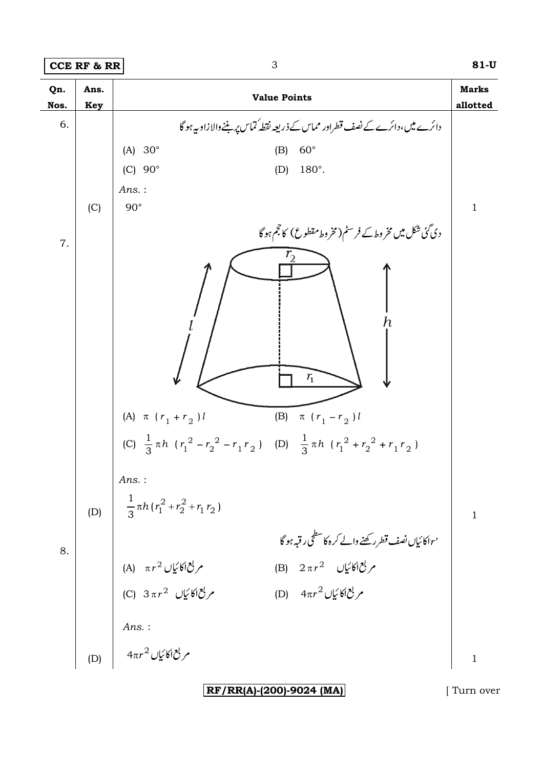**CCE RF & RR 3** 81-U



**RF/RR(A)-(200)-9024 (MA)** [ Turn over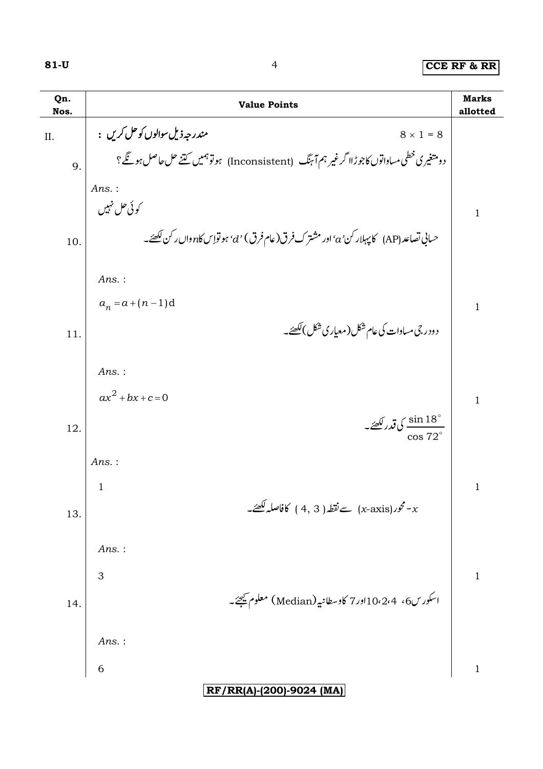| Qn.<br>Nos. | <b>Value Points</b>                                                                             | <b>Marks</b><br>allotted |
|-------------|-------------------------------------------------------------------------------------------------|--------------------------|
| II.         | مندرجهذيل سوالوں کو حل کریں :<br>$8 \times 1 = 8$                                               |                          |
| 9.          | دومتغیری خطی مساواتوں کاجوڑاا گرغیر ہم آ ہنگ   (Inconsistent)   ہوتو ہمیں کتنے حل حاصل ہو گئے ؟ |                          |
|             | Ans.:                                                                                           |                          |
|             | کوئی حل نہیں                                                                                    | $\mathbf{1}$             |
| 10.         | حساني تصاعد (AP)    كاپېلار كن 'a' اور مشتر ك فرق(عام فرق) 'd' ہو تواس كا $n$ وال ركن لكھئے۔    |                          |
|             |                                                                                                 |                          |
|             | Ans.:<br>$a_n = a + (n-1)d$                                                                     |                          |
|             | د ودر جی مساوات کی عام شکل ( معیار ی شکل )لکھئے۔                                                | $\mathbf{1}$             |
| 11.         |                                                                                                 |                          |
|             | Ans.:                                                                                           |                          |
|             | $ax^{2} + bx + c = 0$                                                                           | $\mathbf{1}$             |
| 12.         | $\frac{1}{2}$ ي قدر لکھئے۔                                                                      |                          |
|             | Ans.:                                                                                           |                          |
|             | $\mathbf{1}$                                                                                    | $\mathbf{1}$             |
| 13.         | حور(x-axis) سے نقطہ ( 3 , 4 ) کافاصلہ لکھئے۔ $\sim$                                             |                          |
|             |                                                                                                 |                          |
|             | Ans.:                                                                                           |                          |
|             | 3                                                                                               | $\,1$                    |
| 14.         | اسکورس6، 10،2،4اور7 کاوسطانیہ (Median) معلوم <u>می</u> جئے۔                                     |                          |
|             | Ans.:                                                                                           |                          |
|             | 6                                                                                               | $\mathbf{1}$             |
|             | RF/RR(A)-(200)-9024 (MA)                                                                        |                          |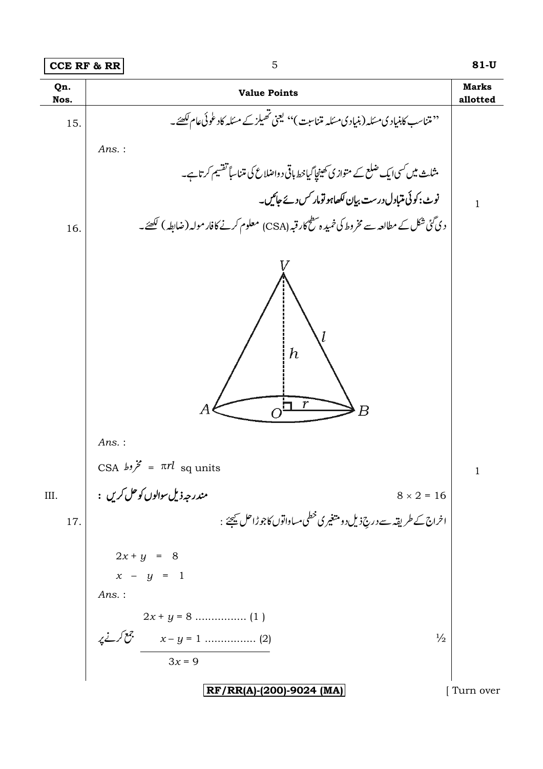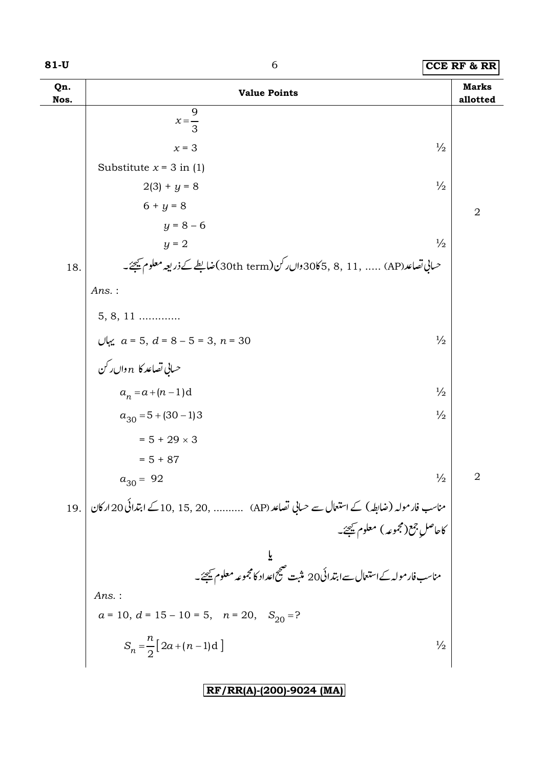| Qn.<br>Nos. | <b>Value Points</b>                                                                         |                |  |
|-------------|---------------------------------------------------------------------------------------------|----------------|--|
|             | 9<br>$x=\frac{1}{3}$                                                                        |                |  |
|             | $\frac{1}{2}$<br>$x = 3$                                                                    |                |  |
|             | Substitute $x = 3$ in (1)                                                                   |                |  |
|             | $\frac{1}{2}$<br>$2(3) + y = 8$                                                             |                |  |
|             | $6 + y = 8$                                                                                 | $\overline{2}$ |  |
|             | $y = 8 - 6$                                                                                 |                |  |
|             | $\frac{1}{2}$<br>$y = 2$                                                                    |                |  |
| 18.         | حساني تصاعد(AP)  , 11 , 30 30 30 دال رکن (30th term) ضابلطے کے ذریعہ معلوم ﷺ ۔              |                |  |
|             | Ans.:                                                                                       |                |  |
|             | $5, 8, 11$                                                                                  |                |  |
|             | $\frac{1}{2}$                                                                               |                |  |
|             | یہاں $a = 5, d = 8 - 5 = 3, n = 30$ اور اس کر مساعد $n \sinh \omega$                        |                |  |
|             | $a_n = a + (n-1)d$<br>$\frac{1}{2}$                                                         |                |  |
|             | $\frac{1}{2}$<br>$a_{30} = 5 + (30 - 1)3$                                                   |                |  |
|             | $= 5 + 29 \times 3$                                                                         |                |  |
|             | $= 5 + 87$                                                                                  |                |  |
|             | $\frac{1}{2}$<br>$a_{30} = 92$                                                              | $\overline{2}$ |  |
| 19.         | مناسب فارمولہ (ضابطہ) کے استعال سے حسابی تصاعد (AP)    , 15, 20, 15, 20 کے ابتدائی 20 ارکان |                |  |
|             | کاحاصل جمع(مجموعه) معلوم کیجئے۔                                                             |                |  |
|             |                                                                                             |                |  |
|             | یو<br>مناسب فار مولہ کےاستعال سےابتدائی20 مثبت صحیح اعداد کامجموعہ معلوم ﷺ۔                 |                |  |
|             | $Ans.$ :                                                                                    |                |  |
|             | $a = 10$ , $d = 15 - 10 = 5$ , $n = 20$ , $S_{20} = ?$                                      |                |  |
|             | $S_n = \frac{n}{2} [2a + (n-1)d]$<br>$\frac{1}{2}$                                          |                |  |
|             |                                                                                             |                |  |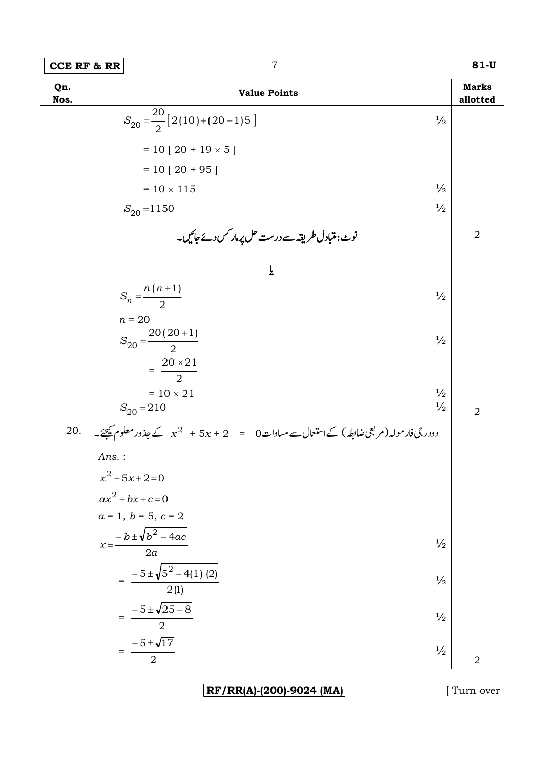| Qn.<br>Nos. | <b>Value Points</b>                                                                                   | <b>Marks</b><br>allotted |
|-------------|-------------------------------------------------------------------------------------------------------|--------------------------|
|             | $S_{20} = \frac{20}{2} [2(10) + (20 - 1)5]$<br>$\frac{1}{2}$                                          |                          |
|             | $= 10 [20 + 19 \times 5]$                                                                             |                          |
|             | $= 10 [20 + 95]$                                                                                      |                          |
|             | $\frac{1}{2}$<br>$= 10 \times 115$                                                                    |                          |
|             | $\frac{1}{2}$<br>$S_{20} = 1150$                                                                      |                          |
|             | نوٹ:متبادل طریقہ سے درست حل پرمار کس دئے جائیں۔                                                       | $\overline{2}$           |
|             | ř                                                                                                     |                          |
|             | $S_n = \frac{n(n+1)}{2}$<br>$\frac{1}{2}$                                                             |                          |
|             | $n = 20$<br>$S_{20} = \frac{20(20+1)}{2}$<br>$\frac{1}{2}$<br>$=\frac{20\times21}{2}$                 |                          |
|             | $\frac{1}{2}$<br>$= 10 \times 21$<br>$\frac{1}{2}$<br>$S_{20} = 210$                                  | $\overline{2}$           |
| $20.$       | دودر جی فار مولہ ( مربعی ضابطہ ) کےاستعمال سے مساوات 0 = $x + 5x + 2 + x^2 + 5x$ کے جذور معلوم کیجئے۔ |                          |
|             | $Ans.$ :                                                                                              |                          |
|             | $x^2 + 5x + 2 = 0$                                                                                    |                          |
|             | $ax^{2} + bx + c = 0$                                                                                 |                          |
|             | $a = 1, b = 5, c = 2$                                                                                 |                          |
|             | $x=\frac{-b\pm\sqrt{b^2-4ac}}{2}$<br>$\frac{1}{2}$<br>$\overline{2a}$                                 |                          |
|             | $=$ $-5 \pm \sqrt{5^2 - 4(1)(2)}$<br>$\frac{1}{2}$<br>$\frac{2(1)}{2}$                                |                          |
|             | $\frac{-5 \pm \sqrt{25 - 8}}{2}$<br>$\frac{1}{2}$                                                     |                          |
|             | $=\frac{-5\pm\sqrt{17}}{2}$<br>$\frac{1}{2}$                                                          | $\overline{2}$           |

RF/RR(A)-(200)-9024 (MA)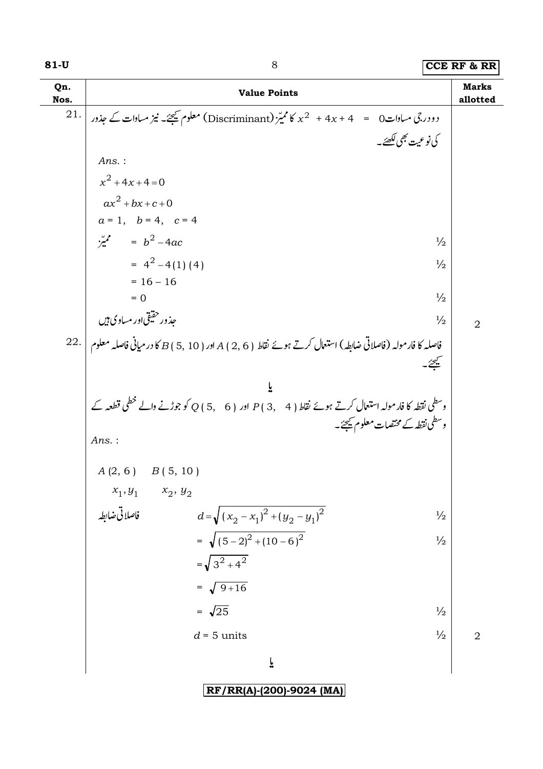| Qn.<br>Nos. | <b>Value Points</b>                                                                                                      | <b>Marks</b><br>allotted |
|-------------|--------------------------------------------------------------------------------------------------------------------------|--------------------------|
| 21.         | دو در جی مساوات $0=4$ + $4x+4$ $\star$ کا ممیّز $\star$ (Discriminant) معلوم ﷺ نیز مساوات کے جذور                        |                          |
|             | كى نوعيت بھى لكھئے۔                                                                                                      |                          |
|             | $Ans.$ :                                                                                                                 |                          |
|             | $x^2 + 4x + 4 = 0$                                                                                                       |                          |
|             | $ax^2+bx+c+0$                                                                                                            |                          |
|             | $a = 1, b = 4, c = 4$                                                                                                    |                          |
|             | $\frac{b^2}{2}$ = $b^2$ -4ac<br>$\frac{1}{2}$                                                                            |                          |
|             | $= 4^2 - 4(1)(4)$<br>$\frac{1}{2}$                                                                                       |                          |
|             | $= 16 - 16$<br>$\frac{1}{2}$<br>$= 0$                                                                                    |                          |
|             | جذور حقیقی اور مساوی ہیں<br>$\frac{1}{2}$                                                                                |                          |
|             |                                                                                                                          | $\overline{2}$           |
|             | 22. فاصلہ کا فار مولہ (فاصلاتی ضابطہ) استعال کرتے ہوئے نقاط ( 6 , 2 ) A اور ( 5 , 10 ) کا در میانی فاصلہ معلوم<br>فليحيئ |                          |
|             |                                                                                                                          |                          |
|             | وسطی نقطہ کا فارمولہ استعال کرتے ہوئے نقاط ( 4 ,4 ) P اور ( 5,6 ) Q کو جوڑنے والے خطی قطعہ کے                            |                          |
|             | وسطى نقطه كے مختصات معلوم كيجئے۔                                                                                         |                          |
|             | $Ans.$ :                                                                                                                 |                          |
|             | $A(2, 6)$ $B(5, 10)$                                                                                                     |                          |
|             | $x_2, y_2$                                                                                                               |                          |
|             | $x_1,y_1$ فاصلاتی ضابطہ<br>$d=\sqrt{(x_2-x_1)^2+(y_2-y_1)^2}$<br>$\frac{1}{2}$                                           |                          |
|             | = $\sqrt{(5-2)^2+(10-6)^2}$<br>$\frac{1}{2}$                                                                             |                          |
|             | $=\sqrt{3^2+4^2}$                                                                                                        |                          |
|             | $=\sqrt{9+16}$                                                                                                           |                          |
|             | $=\sqrt{25}$<br>$\frac{1}{2}$                                                                                            |                          |
|             | $\frac{1}{2}$<br>$d = 5$ units                                                                                           | $\overline{2}$           |
|             | ĩ                                                                                                                        |                          |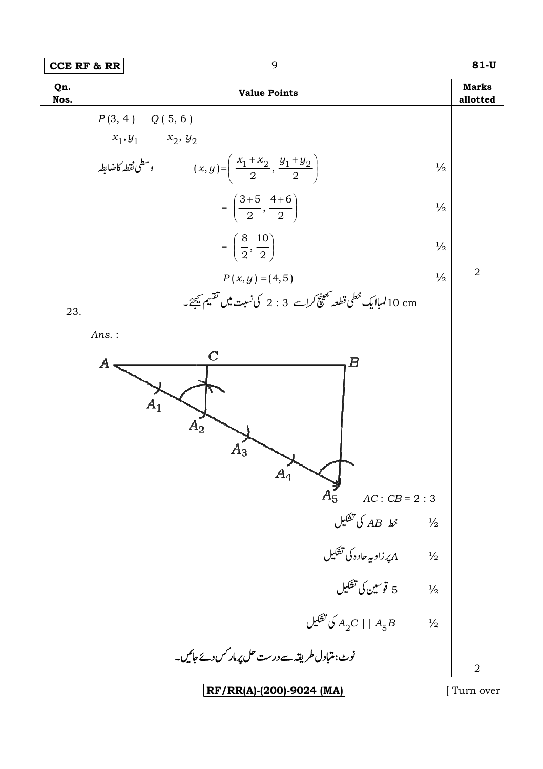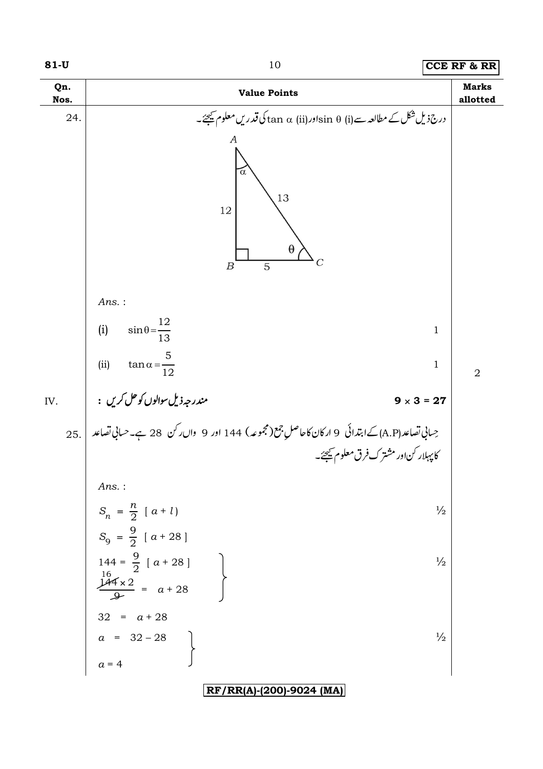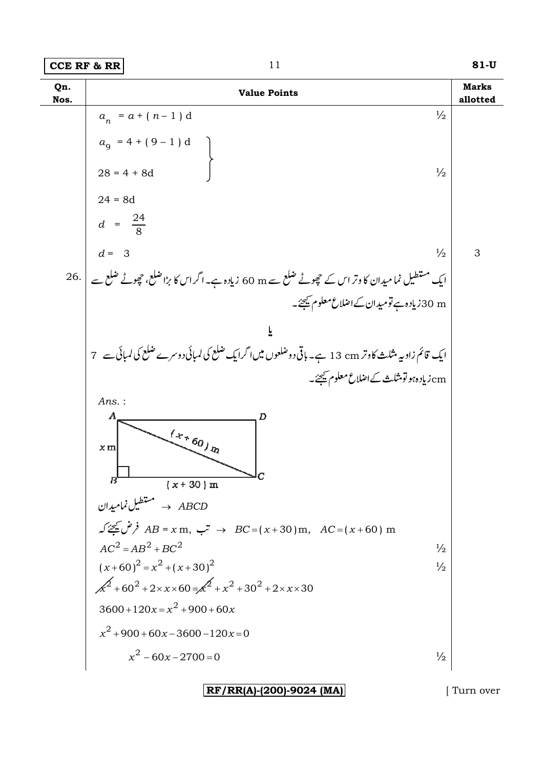

 $|RF/RR(A)-(200)-9024$  (MA)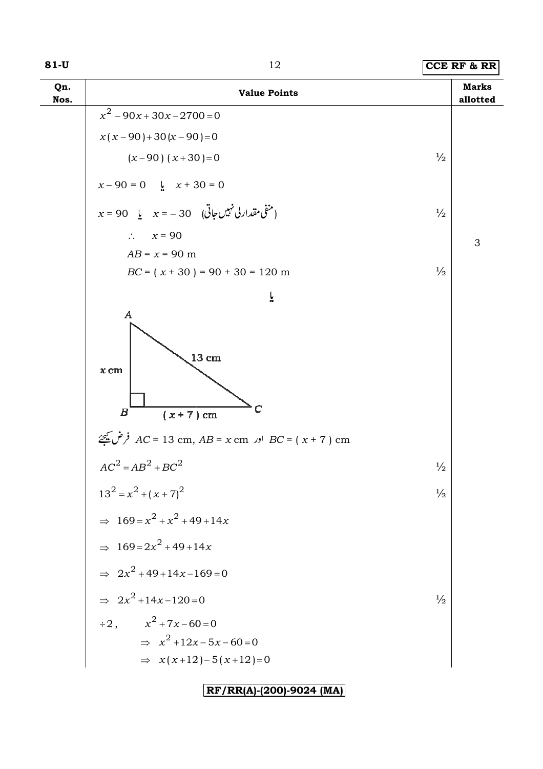| Qn.<br>Nos. | <b>Value Points</b>                                                             |               | <b>Marks</b><br>allotted |
|-------------|---------------------------------------------------------------------------------|---------------|--------------------------|
|             | $x^2 - 90x + 30x - 2700 = 0$                                                    |               |                          |
|             | $x(x-90)+30(x-90)=0$                                                            |               |                          |
|             | $(x-90)$ $(x+30)=0$                                                             | $\frac{1}{2}$ |                          |
|             | $x - 90 = 0$ $\downarrow x + 30 = 0$                                            |               |                          |
|             | $x = 90$ په $x = -30$ (منفى مقدار لی نہیں جاتی                                  | $\frac{1}{2}$ |                          |
|             | $\therefore$ $x = 90$                                                           |               | 3                        |
|             | $AB = x = 90$ m                                                                 |               |                          |
|             | $BC = (x + 30) = 90 + 30 = 120$ m                                               | $\frac{1}{2}$ |                          |
|             | ĩ                                                                               |               |                          |
|             | $\boldsymbol{A}$<br>$13 \text{ cm}$<br>$x$ cm<br>$\boldsymbol{B}$<br>$(x+7)$ cm |               |                          |
|             | $AC = 13 \text{ cm}$ , $AB = x \text{ cm}$ اور $BC = (x + 7) \text{ cm}$        |               |                          |
|             | $AC2 = AB2 + BC2$                                                               | $\frac{1}{2}$ |                          |
|             | $13^2 = x^2 + (x+7)^2$                                                          | $\frac{1}{2}$ |                          |
|             | $\Rightarrow 169 = x^2 + x^2 + 49 + 14x$                                        |               |                          |
|             | $\Rightarrow 169 = 2x^2 + 49 + 14x$                                             |               |                          |
|             | $\Rightarrow 2x^2 + 49 + 14x - 169 = 0$                                         |               |                          |
|             | $\Rightarrow 2x^2 + 14x - 120 = 0$                                              | $\frac{1}{2}$ |                          |
|             | $\div 2$ , $x^2 + 7x - 60 = 0$                                                  |               |                          |
|             | $\Rightarrow x^2 + 12x - 5x - 60 = 0$                                           |               |                          |
|             | $\Rightarrow$ $x(x+12)-5(x+12)=0$                                               |               |                          |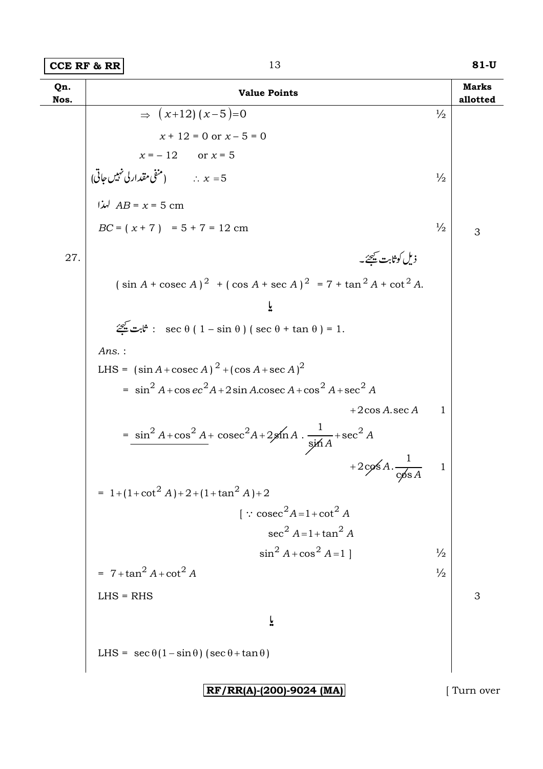On. **Marks Value Points** allotted Nos.  $\Rightarrow$   $(x+12)(x-5)=0$  $\frac{1}{2}$  $x + 12 = 0$  or  $x - 5 = 0$  $x = -12$  or  $x = 5$ شفی مقدار کی نہیں جاتی:<br>  $x = 5$  سنرا،<br>  $AB = x = 5 \text{ cm}$ <br>  $BC = (x + 7) = 5 + 7 = 12 \text{ cm}$  $\frac{1}{2}$  $\frac{1}{2}$ 3 ذیل کوثابت <u>م</u>یحئے۔ 27.  $(\sin A + \csc A)^2 + (\cos A + \sec A)^2 = 7 + \tan^2 A + \cot^2 A$ .  $\overline{\mathbf{r}}$  $\mathcal{Z}$  :  $\mathcal{Z}$  :  $\mathcal{Z}$  :  $\mathcal{Z}$  :  $\mathcal{Z}$  :  $\mathcal{Z}$  :  $\mathcal{Z}$  :  $\mathcal{Z}$  :  $\mathcal{Z}$  :  $\mathcal{Z}$  :  $\mathcal{Z}$  :  $\mathcal{Z}$  :  $\mathcal{Z}$  :  $\mathcal{Z}$  :  $\mathcal{Z}$  :  $\mathcal{Z}$  :  $\mathcal{Z}$  :  $\mathcal{Z}$  :  $\mathcal{Z}$  :  $\mathcal{Z}$  :  $Ans.$ : LHS =  $(\sin A + \csc A)^2 + (\cos A + \sec A)^2$  $= \sin^2 A + \cos ec^2 A + 2\sin A \cdot \csc A + \cos^2 A + \sec^2 A$ +2 $\cos A \sec A$  $\overline{1}$  $=\frac{\sin^2 A + \cos^2 A + \csc^2 A + 2\sin A \cdot \frac{1}{\sin A} + \sec^2 A}{\sin A}$ +2cos A.  $\frac{1}{\cos A}$  $\mathbf{1}$ = 1+(1+cot<sup>2</sup> A)+2+(1+tan<sup>2</sup> A)+2  $\int$  : cosec<sup>2</sup>A=1+cot<sup>2</sup>A  $\sec^2 A = 1 + \tan^2 A$  $\sin^2 A + \cos^2 A = 1$  $\frac{1}{2}$  $= 7 + \tan^2 A + \cot^2 A$  $\frac{1}{2}$  $LHS = RHS$ 3  $\overline{\mathsf{r}}$ LHS =  $\sec \theta (1 - \sin \theta) (\sec \theta + \tan \theta)$ 

 $|RF/RR(A)-(200)-9024$  (MA)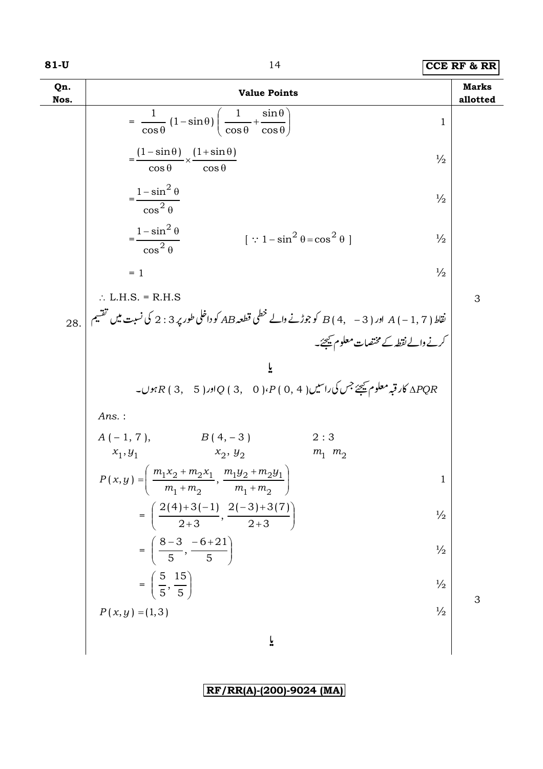| Qn.<br>Nos. | <b>Value Points</b>                                                                                     |                                       | <b>Marks</b><br>allotted |  |
|-------------|---------------------------------------------------------------------------------------------------------|---------------------------------------|--------------------------|--|
|             | $=\frac{1}{\cos\theta}(1-\sin\theta)\left(\frac{1}{\cos\theta}+\frac{\sin\theta}{\cos\theta}\right)$    | 1                                     |                          |  |
|             | $=\frac{(1-\sin\theta)}{\cos\theta} \times \frac{(1+\sin\theta)}{\cos\theta}$                           | $\frac{1}{2}$                         |                          |  |
|             | $=\frac{1-\sin^2\theta}{\cos^2\theta}$<br>$\frac{1}{2}$                                                 |                                       |                          |  |
|             | $=\frac{1-\sin^2\theta}{\cos^2\theta}$<br>$[\because 1 - \sin^2 \theta = \cos^2 \theta]$                | $\frac{1}{2}$                         |                          |  |
|             | $= 1$                                                                                                   | $\frac{1}{2}$                         |                          |  |
|             | $\therefore$ L.H.S. = R.H.S                                                                             |                                       | 3                        |  |
| 28.         | نقاط ( A + − 3 + ) A اور ( B + + − 3 كو جوڑنے والے خطمی قطعہ AB كو داخلی طور پر 3 : 2 كی نسبت میں تقسیم |                                       |                          |  |
|             |                                                                                                         | کرنے والے نقطہ کے مختصات معلوم کیجئے۔ |                          |  |
|             | ĩ                                                                                                       |                                       |                          |  |
|             | ے کاروبر معلوم ﷺ جس کی راسیں ( 4 , 0 ) $\rho$ ( 3 , 0 ) $Q$ ( 3 , 6 ) $\pi$ ہوں۔ $R$ ( 3 , 6 ) $R$ ہوں۔ |                                       |                          |  |
|             | $Ans.$ :                                                                                                |                                       |                          |  |
|             | $A(-1, 7),$ $B(4, -3)$                                                                                  | 2:3                                   |                          |  |
|             | $x_2, y_2$<br>$x_1, y_1$                                                                                | $m_1$ $m_2$                           |                          |  |
|             | $P(x,y) = \left(\frac{m_1x_2 + m_2x_1}{m_1 + m_2}, \frac{m_1y_2 + m_2y_1}{m_1 + m_2}\right)$            | 1                                     |                          |  |
|             | $= \left(\frac{2(4)+3(-1)}{2+3}, \frac{2(-3)+3(7)}{2+3}\right)$                                         | $\frac{1}{2}$                         |                          |  |
|             | $=\left(\frac{8-3}{5}, \frac{-6+21}{5}\right)$                                                          | $\frac{1}{2}$                         |                          |  |
|             | $=\left(\frac{5}{5},\frac{15}{5}\right)$                                                                | $\frac{1}{2}$                         | 3                        |  |
|             | $P(x, y) = (1, 3)$                                                                                      | $\frac{1}{2}$                         |                          |  |
|             | ř                                                                                                       |                                       |                          |  |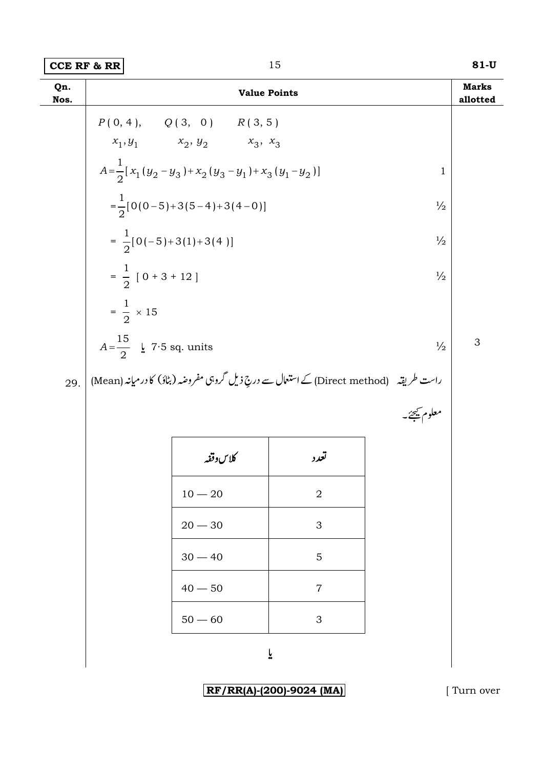| Qn.<br>Nos. |                                                       | <b>Value Points</b>                                                                         |                           |               | <b>Marks</b><br>allotted |  |
|-------------|-------------------------------------------------------|---------------------------------------------------------------------------------------------|---------------------------|---------------|--------------------------|--|
|             |                                                       | $P(0, 4), \qquad Q(3, 0) \qquad R(3, 5)$                                                    |                           |               |                          |  |
|             |                                                       | $x_1, y_1$ $x_2, y_2$ $x_3, x_3$                                                            |                           |               |                          |  |
|             |                                                       | $A=\frac{1}{2}[x_1(y_2-y_3)+x_2(y_3-y_1)+x_3(y_1-y_2)]$                                     |                           | $\mathbf 1$   |                          |  |
|             | $=\frac{1}{2}[0(0-5)+3(5-4)+3(4-0)]$<br>$\frac{1}{2}$ |                                                                                             |                           |               |                          |  |
|             | $=\frac{1}{2}[0(-5)+3(1)+3(4)]$<br>$\frac{1}{2}$      |                                                                                             |                           |               |                          |  |
|             | $=\frac{1}{2}$ [ 0 + 3 + 12 ]<br>$\frac{1}{2}$        |                                                                                             |                           |               |                          |  |
|             | $=\frac{1}{2} \times 15$                              |                                                                                             |                           |               |                          |  |
|             | $A=\frac{15}{2}$ $\frac{1}{2}$ 7.5 sq. units          |                                                                                             |                           | $\frac{1}{2}$ | 3                        |  |
| 29.         |                                                       | راست طریقہ     (Direct method) کے استعال سے دریع ذیل گروہی مفروضہ (بٹاؤ) کا در میانہ (Mean) |                           |               |                          |  |
|             |                                                       |                                                                                             |                           | معلوم کیجئے۔  |                          |  |
|             |                                                       | كلاسوقفه                                                                                    | تعدد                      |               |                          |  |
|             |                                                       | $10 - 20$                                                                                   | $\overline{2}$            |               |                          |  |
|             |                                                       | $20 - 30$                                                                                   | 3                         |               |                          |  |
|             |                                                       | $30 - 40$                                                                                   | 5                         |               |                          |  |
|             |                                                       | $40 - 50$                                                                                   | $\overline{7}$            |               |                          |  |
|             |                                                       | $50 - 60$                                                                                   | $\ensuremath{\mathsf{3}}$ |               |                          |  |

 $\tilde{\mathsf{r}}$ 

RF/RR(A)-(200)-9024 (MA)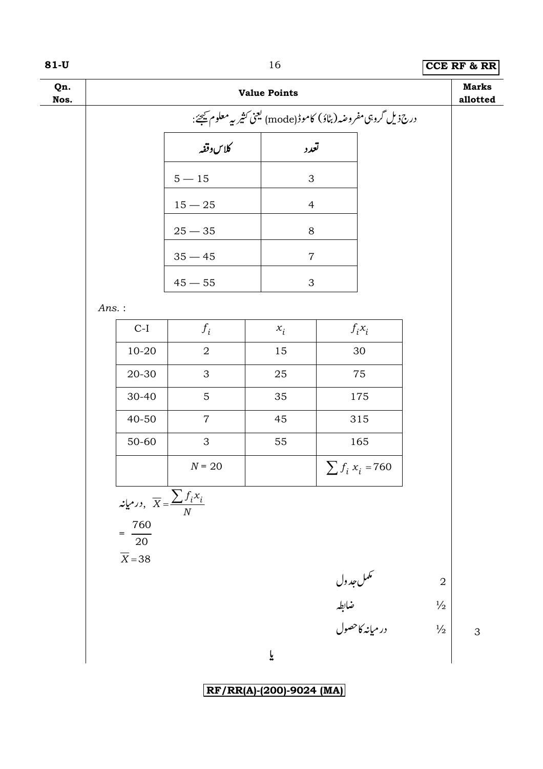| w<br>۰. | v.<br>۰. |
|---------|----------|
|---------|----------|

|             |                                                                                         |                |                     |                                       | $\sim$                   |
|-------------|-----------------------------------------------------------------------------------------|----------------|---------------------|---------------------------------------|--------------------------|
| Qn.<br>Nos. |                                                                                         |                | <b>Value Points</b> |                                       | <b>Marks</b><br>allotted |
|             | درج: یل گروہی مفروضہ (بٹاؤ) کاموڈ(mode) کیجنی کثیر <sub>س</sub> ے معلوم <u>ت</u> ھیجئے: |                |                     |                                       |                          |
|             |                                                                                         | ر<br>کلاس دقفه | تعدد                |                                       |                          |
|             |                                                                                         | $5-15\,$       | 3                   |                                       |                          |
|             |                                                                                         | $15-25\,$      | $\overline{4}$      |                                       |                          |
|             |                                                                                         | $25-35\,$      | $8\,$               |                                       |                          |
|             |                                                                                         | $35 - 45$      | $\overline{7}$      |                                       |                          |
|             |                                                                                         | $45 - 55$      | $\mathfrak{S}$      |                                       |                          |
|             | $Ans.$ :                                                                                |                |                     |                                       |                          |
|             | $C-I$                                                                                   | $f_i$          | $x_i$               | $f_i x_i$                             |                          |
|             | $10 - 20$                                                                               | $\overline{2}$ | 15                  | 30                                    |                          |
|             | $20 - 30$                                                                               | 3              | 25                  | 75                                    |                          |
|             | 30-40                                                                                   | 5              | 35                  | 175                                   |                          |
|             | 40-50                                                                                   | $\overline{7}$ | 45                  | 315                                   |                          |
|             | 50-60                                                                                   | 3              | 55                  | 165                                   |                          |
|             |                                                                                         | $N = 20$       |                     | $\sum f_i x_i = 760$                  |                          |
|             | درمیانه, $\overline{X} = \frac{\sum f_i x_i}{N}$                                        |                |                     |                                       |                          |
|             | $\frac{760}{ }$                                                                         |                |                     |                                       |                          |
|             | $20\,$                                                                                  |                |                     |                                       |                          |
|             | $\overline{X}$ = 38                                                                     |                |                     |                                       |                          |
|             |                                                                                         |                |                     |                                       | $\overline{2}$           |
|             |                                                                                         |                |                     | سممل جدول<br>ضابطہ<br>در میانہ کاحصول | $\frac{1}{2}$            |
|             |                                                                                         |                |                     |                                       | $\frac{1}{2}$<br>3       |
|             |                                                                                         |                | ĩ                   |                                       |                          |
|             |                                                                                         |                |                     |                                       |                          |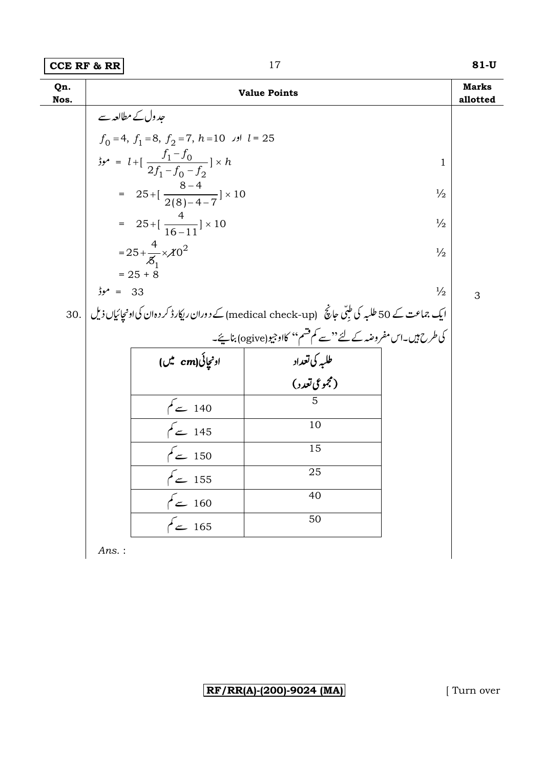| Qn.<br>Nos. | <b>Value Points</b>                                                       |                                                       |                                                                                                    | <b>Marks</b><br>allotted |   |
|-------------|---------------------------------------------------------------------------|-------------------------------------------------------|----------------------------------------------------------------------------------------------------|--------------------------|---|
|             | حد ول کے مطالعہ سے                                                        |                                                       |                                                                                                    |                          |   |
|             |                                                                           | $f_0 = 4$ , $f_1 = 8$ , $f_2 = 7$ , $h = 10$ $l = 25$ |                                                                                                    |                          |   |
|             |                                                                           | $\frac{f_1 - f_0}{2f_1 - f_0 - f_2} \times h$         |                                                                                                    | $\mathbf 1$              |   |
|             |                                                                           | = $25 + [\frac{8-4}{2(8)-4-7}] \times 10$             |                                                                                                    | $\frac{1}{2}$            |   |
|             |                                                                           | = $25 + [\frac{4}{16-11}] \times 10$                  |                                                                                                    | $\frac{1}{2}$            |   |
|             |                                                                           | = $25 + \frac{4}{5} \times 10^{2}$                    |                                                                                                    | $\frac{1}{2}$            |   |
|             |                                                                           | $= 25 + 8$                                            |                                                                                                    |                          |   |
|             | $33 = 33$                                                                 |                                                       |                                                                                                    | $\frac{1}{2}$            | 3 |
|             |                                                                           |                                                       | ایک جماعت کے 50 طلبہ کی طبّی جانچؐ (medical check-up) کے دوران ریکارڈ کردہان کیاونچائیاں ذیل   .30 |                          |   |
|             | ۔<br>کی طرح ہیں۔اس مفروضہ کے لئے "سے کم قشم'' کااوجیو(ogive) بنائیے۔<br>ا |                                                       |                                                                                                    |                          |   |
|             |                                                                           | اونجائی(cm میں)                                       | طلبه کی تعداد                                                                                      |                          |   |
|             |                                                                           |                                                       | (مجموعی تعدد)                                                                                      |                          |   |
|             |                                                                           | 140 سے کم                                             |                                                                                                    |                          |   |
|             |                                                                           | $\sqrt{2}$ 145                                        | 10                                                                                                 |                          |   |
|             |                                                                           | 150 سے کم                                             | 15                                                                                                 |                          |   |
|             |                                                                           | 155 سے کم                                             | 25                                                                                                 |                          |   |
|             |                                                                           | 160 سے کم                                             | 40                                                                                                 |                          |   |
|             |                                                                           | $\sim$ 165                                            | 50                                                                                                 |                          |   |

 $Ans.:$ 

RF/RR(A)-(200)-9024 (MA)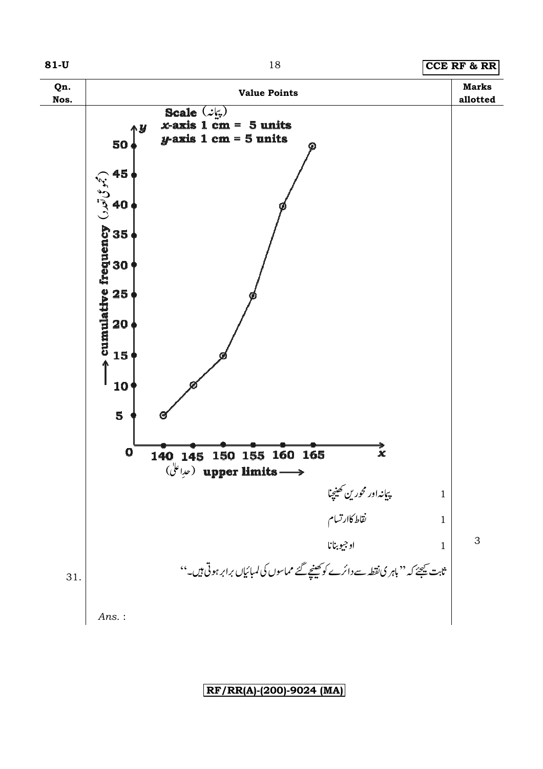

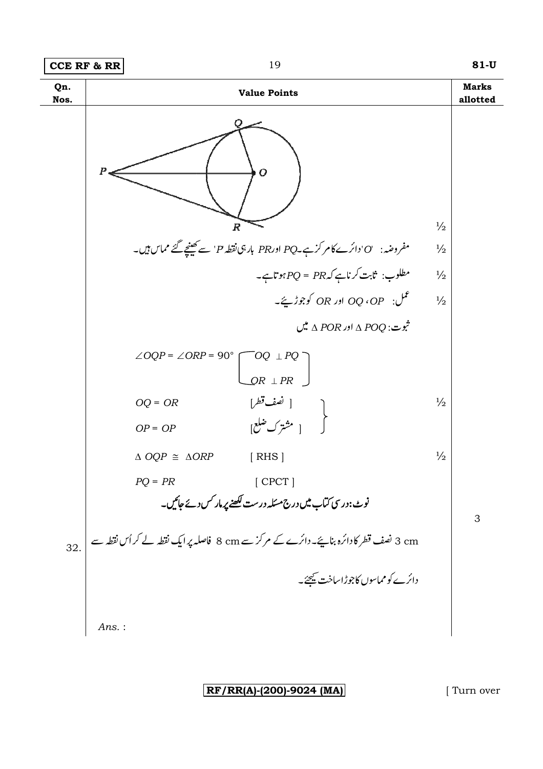

 $RF/RR(A)-(200)-9024$  (MA)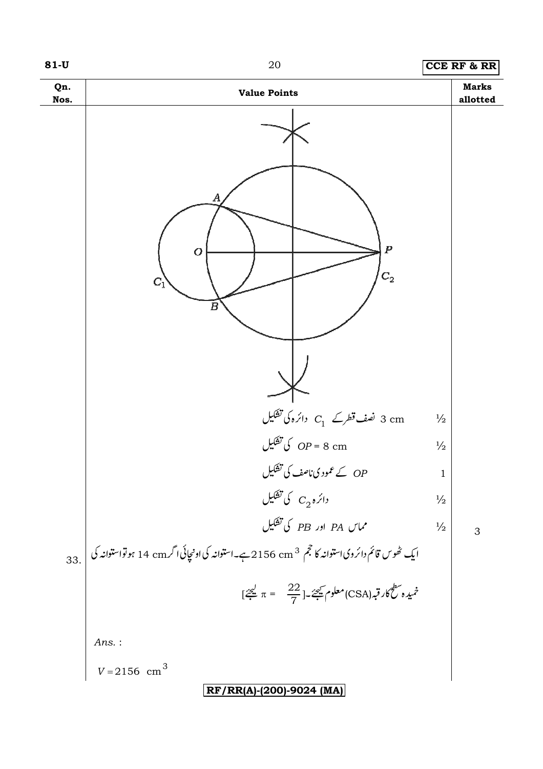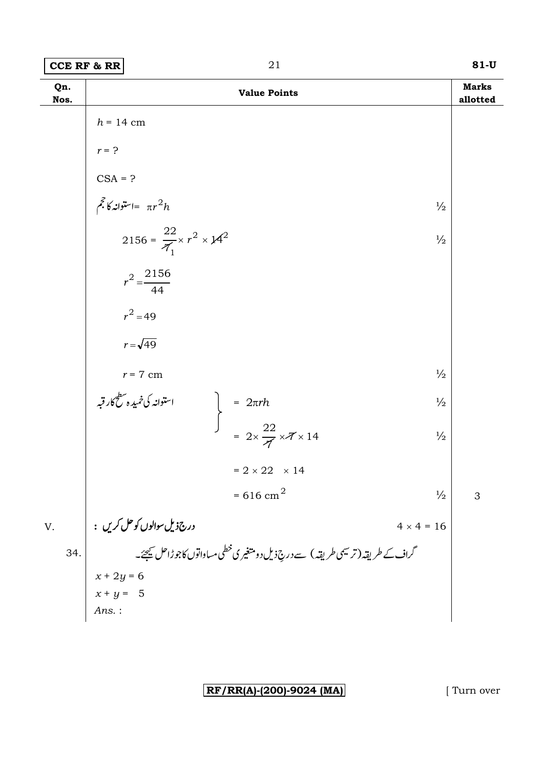| Qn.<br>Nos. |                                                | <b>Value Points</b>                                                                                 |                   | <b>Marks</b><br>allotted |
|-------------|------------------------------------------------|-----------------------------------------------------------------------------------------------------|-------------------|--------------------------|
|             | $h = 14$ cm                                    |                                                                                                     |                   |                          |
|             | $r = ?$                                        |                                                                                                     |                   |                          |
|             |                                                |                                                                                                     |                   |                          |
|             | CSA = ?<br>$\hat{\xi}$ = = $\pi r^2 h$         |                                                                                                     | $\frac{1}{2}$     |                          |
|             | 2156 = $\frac{22}{7_1} \times r^2 \times 14^2$ |                                                                                                     | $\frac{1}{2}$     |                          |
|             | $r^2 = \frac{2156}{44}$                        |                                                                                                     |                   |                          |
|             | $r^2 = 49$                                     |                                                                                                     |                   |                          |
|             | $r = \sqrt{49}$                                |                                                                                                     |                   |                          |
|             | $r = 7 \ \mathrm{cm}$                          |                                                                                                     | $\frac{1}{2}$     |                          |
|             | ۲ - ۲ cm<br>استوانه کی خمیده سطح کار قبه       |                                                                                                     | $\frac{1}{2}$     |                          |
|             |                                                | $\begin{cases}\n= 2\pi rh \\ = 2 \times \frac{22}{\sqrt{2}} \times \sqrt{7} \times 14\n\end{cases}$ | $\frac{1}{2}$     |                          |
|             |                                                | $= 2 \times 22 \times 14$                                                                           |                   |                          |
|             |                                                | $= 616$ cm <sup>2</sup>                                                                             | $\frac{1}{2}$     | 3                        |
| V.          | درج ذيل سوالوں کو حل کريں :                    |                                                                                                     | $4 \times 4 = 16$ |                          |
| 34.         |                                                | گراف کے طریقہ (ترسیمی طریقہ ) سے دریۂ بل دومتغیر ی خطی مساواتوں کاجوڑاحل کیجئے۔                     |                   |                          |
|             | $x + 2y = 6$<br>$x + y = 5$                    |                                                                                                     |                   |                          |
|             | $Ans.$ :                                       |                                                                                                     |                   |                          |

**RF/RR(A)-(200)-9024 (MA)** [ Turn over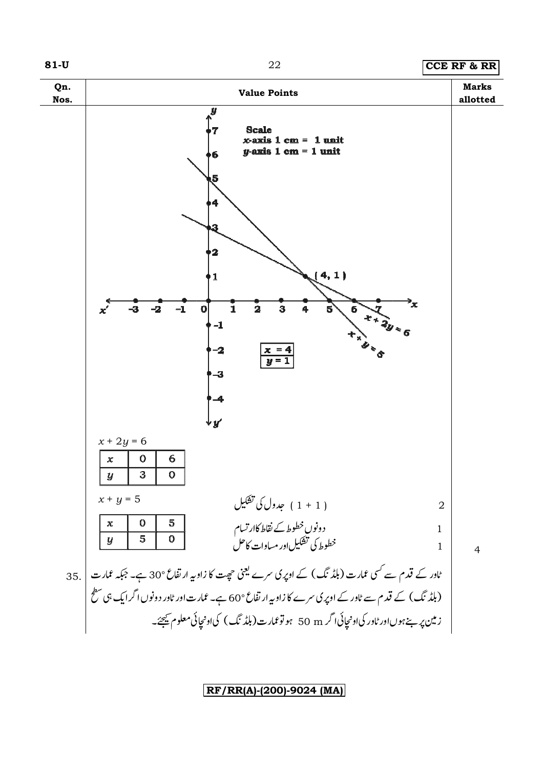

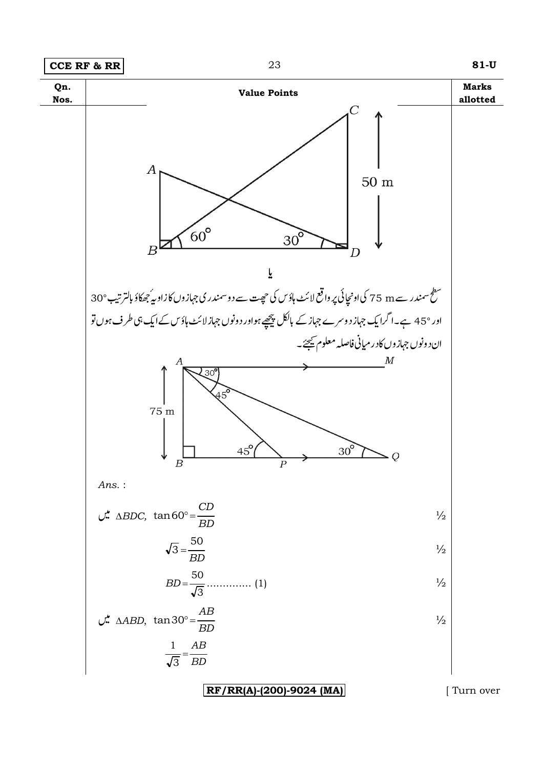

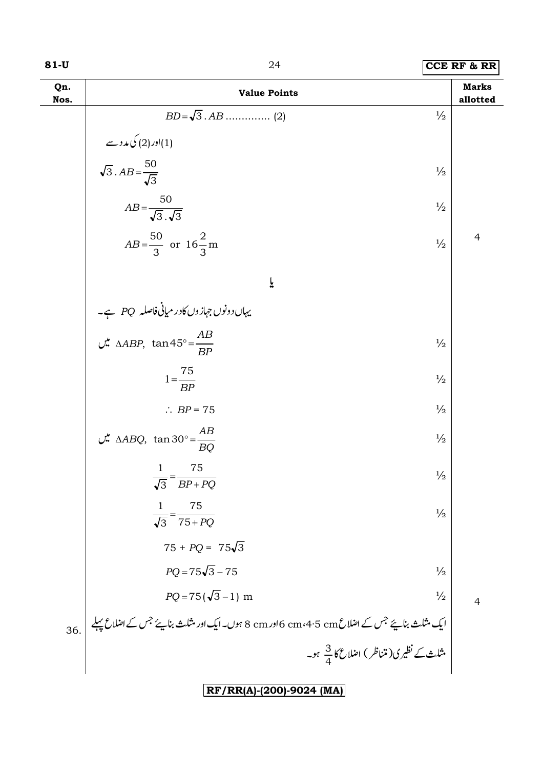| Qn.<br>Nos. | <b>Value Points</b>                                                                                                                                                  |               | <b>Marks</b><br>allotted |
|-------------|----------------------------------------------------------------------------------------------------------------------------------------------------------------------|---------------|--------------------------|
|             |                                                                                                                                                                      | $\frac{1}{2}$ |                          |
|             |                                                                                                                                                                      |               |                          |
|             | اور (2) کی مدد سے (2)<br>$\sqrt{3}$ . $AB = \frac{50}{\sqrt{3}}$                                                                                                     | $\frac{1}{2}$ |                          |
|             | $AB = \frac{50}{\sqrt{3} \cdot \sqrt{3}}$                                                                                                                            | $\frac{1}{2}$ |                          |
|             | $AB = \frac{50}{3}$ or $16\frac{2}{3}$ m                                                                                                                             | $\frac{1}{2}$ | $\overline{4}$           |
|             | ĩ                                                                                                                                                                    |               |                          |
|             |                                                                                                                                                                      |               |                          |
|             | یہاںدونوں جہازوں کادر میانی فاصلہ PQ ہے۔<br>MABP, tan45° = <u>AB</u> میں AABP, tan45° +                                                                              | $\frac{1}{2}$ |                          |
|             | $1=\frac{75}{BP}$                                                                                                                                                    | $\frac{1}{2}$ |                          |
|             | $\therefore BP = 75$                                                                                                                                                 | $\frac{1}{2}$ |                          |
|             | $\therefore$ $\triangle ABQ$ , $\tan 30^{\circ} = \frac{AB}{\Box}$<br><b>BO</b>                                                                                      | $\frac{1}{2}$ |                          |
|             | 75<br>$\mathbf{1}$<br>$\overline{\sqrt{3}}$ = $\overline{BP+PQ}$                                                                                                     | $\frac{1}{2}$ |                          |
|             | 75<br>$\mathbf{1}$<br>$\frac{1}{\sqrt{3}} = \frac{}{75+PO}$                                                                                                          | $\frac{1}{2}$ |                          |
|             | $75 + PQ = 75\sqrt{3}$                                                                                                                                               |               |                          |
|             | $PO = 75\sqrt{3} - 75$                                                                                                                                               | $\frac{1}{2}$ |                          |
|             | $PQ = 75(\sqrt{3}-1)$ m                                                                                                                                              | $\frac{1}{2}$ | $\overline{4}$           |
| 36.         |                                                                                                                                                                      |               |                          |
|             | ایک مثلث بنا <i>یئے جس کے اع</i> لاع 6 cm،4·5 cm اور 8 ہوں۔ایک اور مثلث بنا <i>یئے جس کے اعلاع پہلے</i><br>مثلث <i>کے نظیر ک</i> (متناظر ) اعلاع کا <sup>3</sup> جو۔ |               |                          |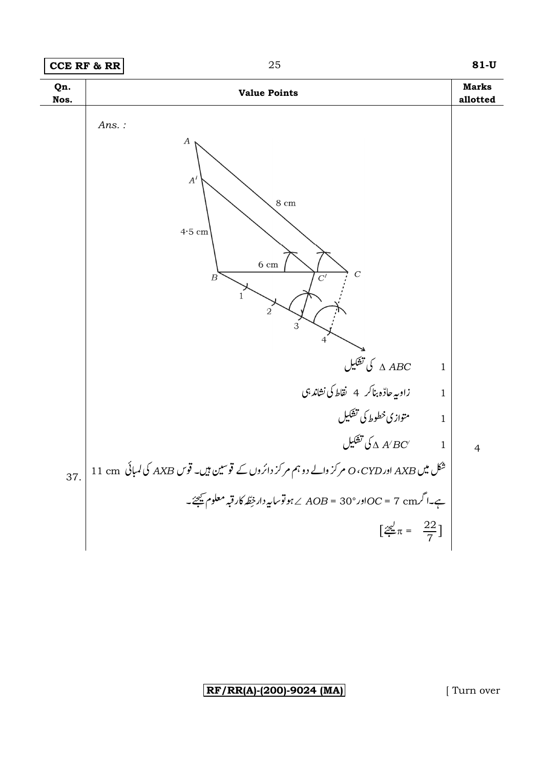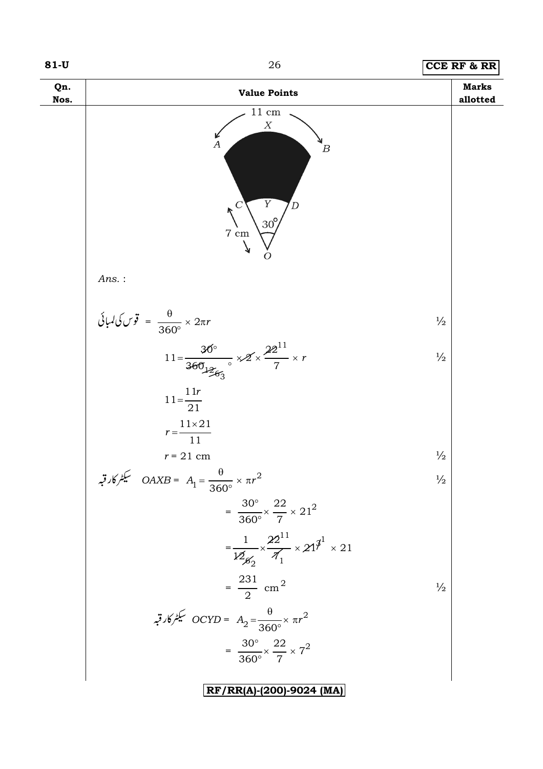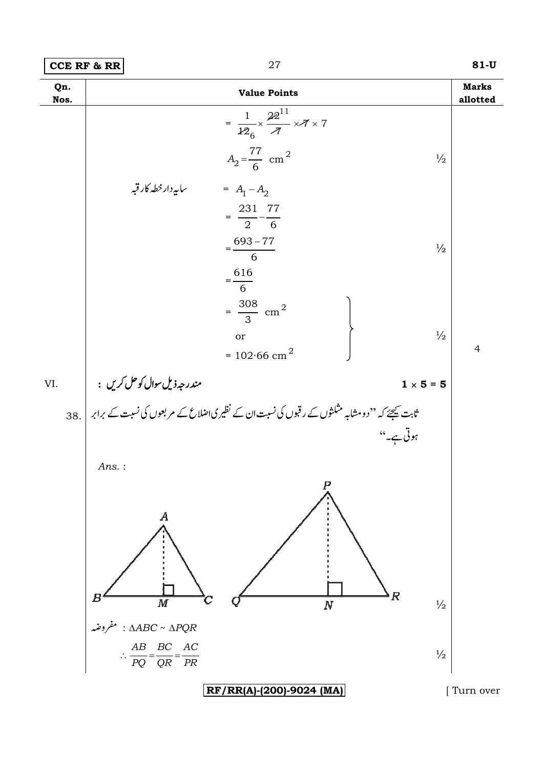| <b>CCE RF &amp; RR</b> |  |  |  |
|------------------------|--|--|--|
|------------------------|--|--|--|